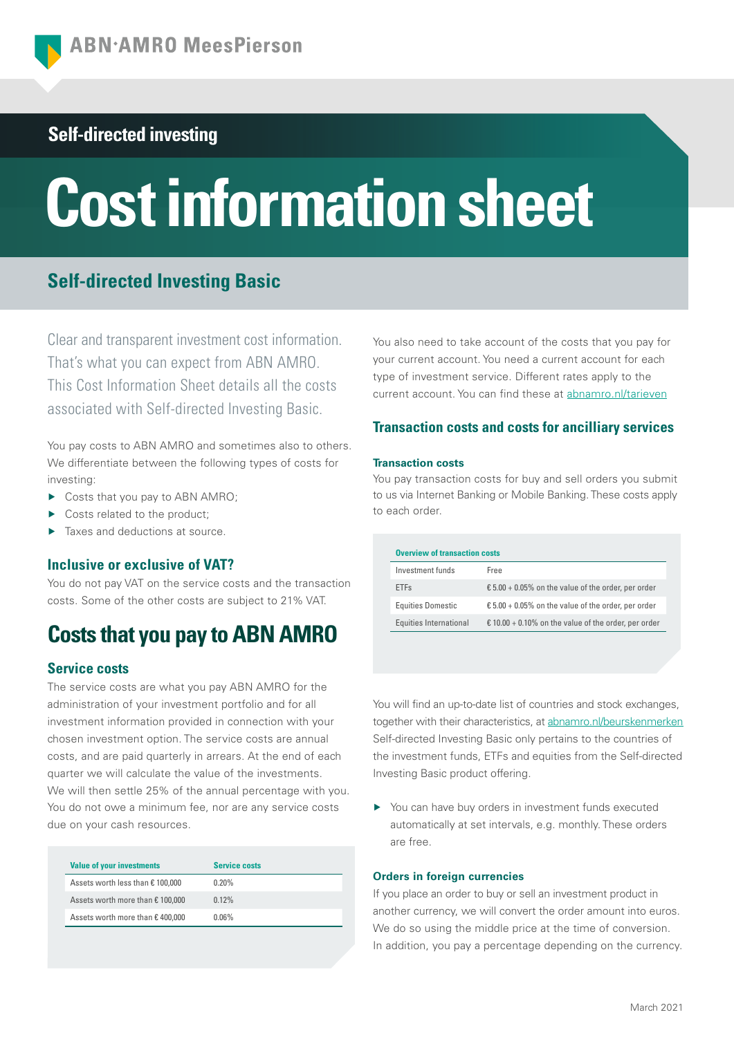# **Self-directed investing**

# **Cost information sheet**

# **Self-directed Investing Basic**

Clear and transparent investment cost information. That's what you can expect from ABN AMRO. This Cost Information Sheet details all the costs associated with Self-directed Investing Basic.

You pay costs to ABN AMRO and sometimes also to others. We differentiate between the following types of costs for investing:

- ▶ Costs that you pay to ABN AMRO;
- Costs related to the product:
- Taxes and deductions at source.

# **Inclusive or exclusive of VAT?**

You do not pay VAT on the service costs and the transaction costs. Some of the other costs are subject to 21% VAT.

# **Costs that you pay to ABN AMRO**

# **Service costs**

The service costs are what you pay ABN AMRO for the administration of your investment portfolio and for all investment information provided in connection with your chosen investment option. The service costs are annual costs, and are paid quarterly in arrears. At the end of each quarter we will calculate the value of the investments. We will then settle 25% of the annual percentage with you. You do not owe a minimum fee, nor are any service costs due on your cash resources.

| <b>Service costs</b> |  |
|----------------------|--|
| $0.20\%$             |  |
| 0.12%                |  |
| $0.06\%$             |  |
|                      |  |

You also need to take account of the costs that you pay for your current account. You need a current account for each type of investment service. Different rates apply to the current account. You can find these at [abnamro.nl/tarieven](https://www.abnamro.nl/nl/prive/beleggen/tarieven/index.html?pos=vku_tarievenbeleggen)

# **Transaction costs and costs for ancilliary services**

## **Transaction costs**

You pay transaction costs for buy and sell orders you submit to us via Internet Banking or Mobile Banking. These costs apply to each order.

| <b>Overview of transaction costs</b> |                                                                           |  |
|--------------------------------------|---------------------------------------------------------------------------|--|
| Investment funds                     | Free                                                                      |  |
| <b>ETFs</b>                          | $\text{\textsterling} 5.00 + 0.05\%$ on the value of the order, per order |  |
| <b>Equities Domestic</b>             | $\text{\textsterling} 5.00 + 0.05\%$ on the value of the order, per order |  |
| Equities International               | € 10.00 + 0.10% on the value of the order, per order                      |  |

You will find an up-to-date list of countries and stock exchanges, together with their characteristics, at [abnamro.nl/beurskenmerken](https://www.abnamro.nl/nl/prive/beleggen/service/beleggingsorders/beurskenmerken/index.html?pos=vku_beurskenmerken) Self-directed Investing Basic only pertains to the countries of the investment funds, ETFs and equities from the Self-directed Investing Basic product offering.

▶ You can have buy orders in investment funds executed automatically at set intervals, e.g. monthly. These orders are free.

## **Orders in foreign currencies**

If you place an order to buy or sell an investment product in another currency, we will convert the order amount into euros. We do so using the middle price at the time of conversion. In addition, you pay a percentage depending on the currency.